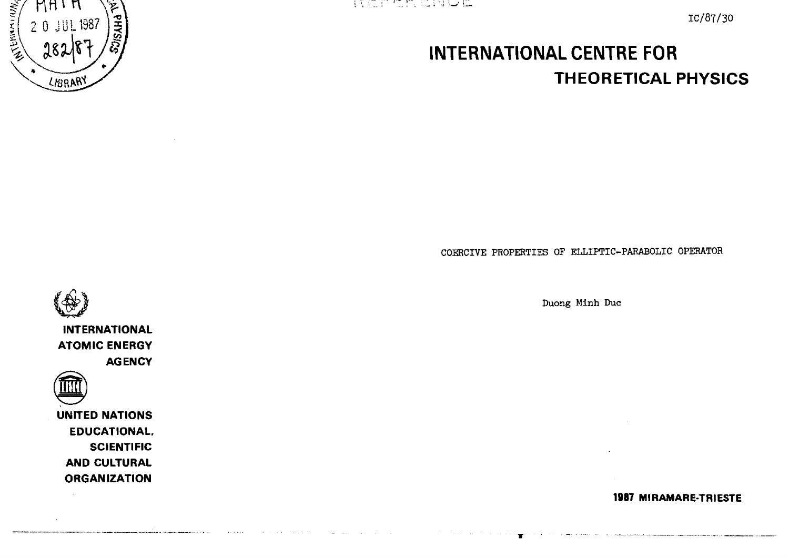

ARESTON CAN QUE

IC/8T/3O

# **INTERNATIONAL CENTRE FOR THEORETICAL PHYSICS**

COERCIVE PROPERTIES OF ELLIPTIC-PARABOLIC OPERATOR

Duong Minh Due

**INTERNATIONAL ATOMIC ENERGY AGENCY**



**UNITED NATIONS EDUCATIONAL, SCIENTIFIC AND CULTURAL ORGANIZATION**

**1987 MIRAMARETRIESTE**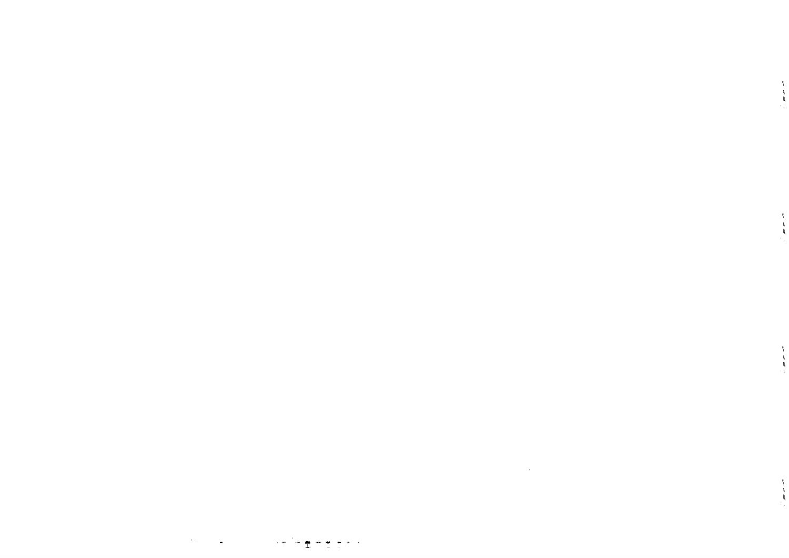$\mathcal{L}^{\text{max}}_{\text{max}}$ 

ا<br>با سواق<mark>ط العام العام العام ال</mark>عام العام العام العام العام العام العام العام العام العام العام العام العام الع<br>العام العام العام العام العام العام العام العام العام العام العام العام العام العام العام العام العام العام  $\mathcal{F}(\mathcal{L})$  .  $\bullet$  .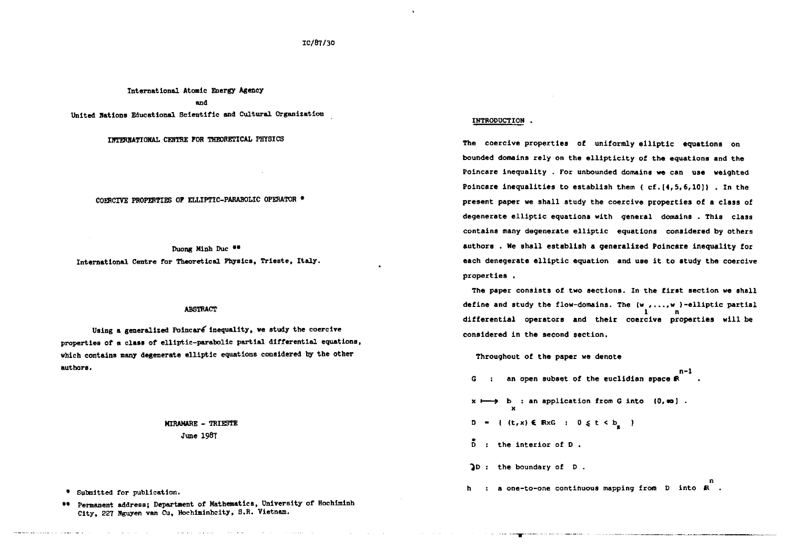**International Atomic Energy Agency and United nations Educational Scientific and Cultural Organisation**

**IHTERHATIOHAL CEHTRE TOR THEORETICAL PHYSICS**

**COERCIVE PROPERTIES OP ELLIPTIC-PARABOLIC OPERATOR •**

**Duong Minn Due •• International Centre for Theoretical Physics, Trieste, Italy.**

#### **ABSTRACT**

**Using a generalized Poincare' inequality, we study the coercive** properties of a class of elliptic-parabolic partial differential equations, **which contains many degenerate elliptic equations considered by the other authors.**

> HIRAMARE - TRIESTE June 1967

**• Submitted for publication.**

**•• Permanent addreBs; Department of Mathematics, University of Hochlminh City, 227 Hguyen van Cu, Hochlainhclty, S.R. Vietnam,**

and the state of the state of the state and

## **INTRODUCTION .**

**The coercive properties of uniformly elliptic equations on bounded domains rely on the ellipticity of the equations and the Poincare inequality . For unbounded domains we can use weighted Poincare inequalities to establish them ( cf.[4,5,6,10]) . In the present paper we shall study the coercive properties of a class of degenerate elliptic equations with general domains . This class contains many degenerate elliptic equations considered by others authors . He shall establish a generalized Poincare inequality for each denegerate elliptic equation and use it to study the coercive properties .**

**The paper consists of two sections. In the first section we shall define and study the flow-domains. The (w ,...,w )-elliptic partial 1 n differential operators and their coercive properties will be considered in the second section.**

**Throughout of the paper we denote**

**n-1** an open subset of the euclidian **space ft**  $x \mapsto b$  : an application from G into  $(0, \infty)$ .  $D = \{ (t, x) \in R \times G : 0 \leq t \leq b$ <sup>1</sup>  $\overline{D}$  : the interior of D. **: the boundary of D . h : a one-to-one continuous mapping from D into**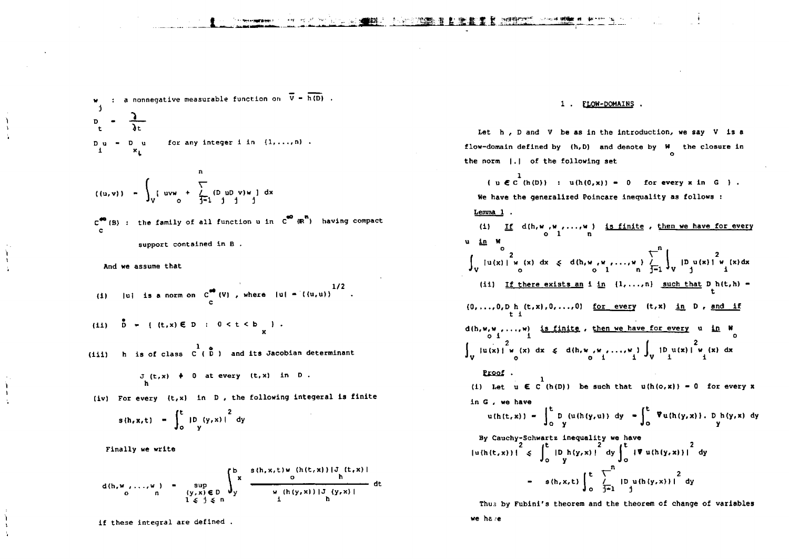**B** comprehensive the state of the first terms of the company of the state of the company of the state of the state of the state of the state of the state of the state of the state of the state of the state of the state of

**a** nonnegative measurable function on  $\bar{v}$  -  $\overline{h(D)}$  .  $\frac{d}{dx}$  **c**  $\frac{d}{dx}$ 

**D u - D u for any integer i in (l,...,n) . i x,**

$$
((u,v)) = \int_V \{vw \atop v \in V_0 + \sum_{j=1}^n (D \cup D \cup v) w \} dx
$$

**C\*° (B) : the family of all function u in C\*° (R\*> having compact**

**support contained in B**

**And we assume that**

(1) |u| is a norm on 
$$
C^{\bullet}(V)
$$
, where |u| = ((u,u))<sup>1/2</sup>.

(i) 
$$
\hat{D} = \{ (t, x) \in D : 0 < t < b \}
$$

**(iii) h is of class C ( D ) and its Jacobian determinant**

**J (t,x» • 0 at every (t,x) in D . h**

**(iv) For every U,x) in D , the following integeral Is finite**

$$
s(h, x, t) = \int_0^t |D(y, x)|^2 dy
$$

**Finally we write**

$$
d(h,w_1,...,w_n) = \sup_{\begin{array}{l}1 \leq j \leq n \\ 1 \leq j \leq n\end{array}} \int_{y}^{b} \frac{s(h,x,t)w(h(t,x))|\mathcal{J}(t,x)|}{w(h(y,x))|\mathcal{J}(y,x)|} dt
$$

**if these integral are defined**

### **1 . FLOW-DOMAINS .**

**Let h , D and V be as In the introduction, we say V is a flow-domain defined by (h,D) and denote by W the closure in o the norm I.I of the following set**

**1**<br> **(** u € C (h(D)) : u(h(0,x)) = 0 for every x in G }. **He have the generalized Poincare inequality as follows : Lemma 1 . (1) ££ d(h,w ,w ,...,w ) is finite , then we have for every o 1 n u in H**  $\mathbf{r}$ ,  $\mathbf{r}^2$ ,  $\mathbf{r}$ ,  $\mathbf{r}$ ,  $\mathbf{r}$ ,  $\mathbf{r}$ ,  $\mathbf{r}$ ,  $\mathbf{r}$ ,  $\mathbf{r}$ ,  $\mathbf{r}$ ,  $\mathbf{r}$ ,  $\mathbf{r}$ ,  $\mathbf{r}$ ,  $\mathbf{r}$ ,  $\mathbf{r}$ ,  $\mathbf{r}$ ,  $\mathbf{r}$ ,  $\mathbf{r}$ ,  $\mathbf{r}$ ,  $\mathbf{r}$ ,  $\mathbf{r}$ ,  $\mathbf{r}$ , **I |u(x) | w (x) dx \$ d(h,w ,w ,. ..,w ) l\_ \ |D u(x)l w (x)dx J J** *J J <b><i>J J <b> <i>J <b>*  $\sum_{j=1}^{n} \int_{V} \frac{2}{|D u(x)|^2}$  (**x (11) If there exists an 1 in (1, ...,n) such that D h(t,h) t (0,...,0,D h (t,x),0,...,0) for every (t,x) in\_ D , and If t i d(h,v,v ,...,w ) ia finit e , then we have for every u In H o i l o**  $\int_{V} |\mathbf{u}(\mathbf{x})| \big|_{0}^{2} dx \leq d(h, w_1, w_2, \dots, w_n) \int_{V} |\mathbf{D} \mathbf{u}(\mathbf{x})| \big|_{0}^{2} dx$ **Eroof** • (i) Let  $u \in C$  (h(D)) be such that  $u(h(o,x)) = 0$  for every x **in 6 , we have u{h(t,x)) - I D (u(h(y,u)) dy - I »u(h(y,x)) . D h(y,x) dy J o y Jo y • Cauchy-Schwartz inequality we ha 2 ,t 2 it**  $|u(h(t,x))| \leqslant \int_0^t \frac{|D_h(y,x)|}{y} dy \int_0^t$ **By Cauchy-Schwartz inequality we have lo y dy**  $s(h,x,t)$   $\begin{bmatrix} t & \overline{v} & 2 \\ l & \overline{v} & \vert D_u(h(y,x)) \vert \end{bmatrix}$ **/ |D u{h{y,x)M dy**

**Thus by Fubini's theorem and the theorem of change of variables**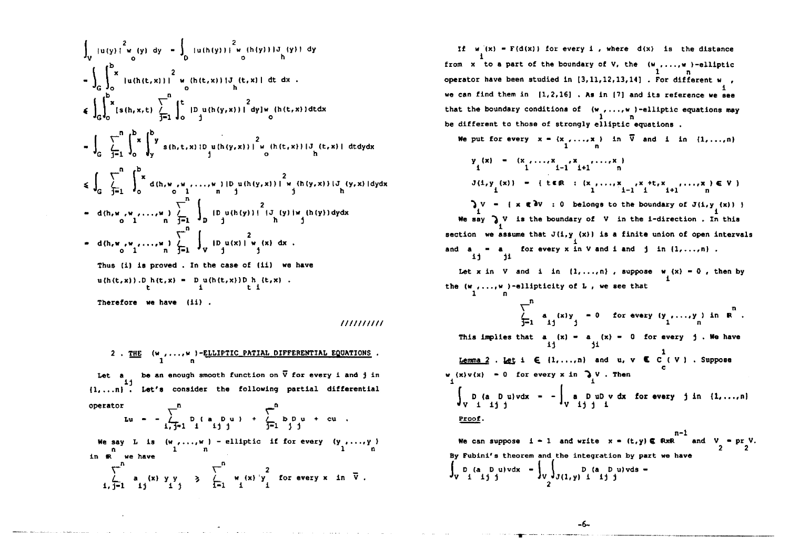$$
\int_{V} |u(y)| \int_{V}^{2} w(y) dy = \int_{D} |u(h(y))| \int_{V}^{2} w(h(y)) |J(y)| dy
$$
  
\n
$$
= \int_{G} \int_{0}^{b} x |u(h(t,x))|^{2} w(h(t,x)) |J(t,x)| dt dx
$$
  
\n
$$
\leq \int_{G} \int_{0}^{b} [s(h,x,t) \int_{-T}^{T} \int_{0}^{b} |D_{u}(h(y,x))|^{2} dy] w_{0}(h(t,x)) dt dx
$$
  
\n
$$
= \int_{G} \int_{-T}^{T} \int_{0}^{b} x \int_{y}^{b} s(h,t,x) |D_{u}(h(y,x))|^{2} w(h(t,x)) |J(t,x)| dt dy dx
$$
  
\n
$$
\leq \int_{G} \int_{-T}^{T} \int_{0}^{b} x d(h, w, w, ..., w) |D_{u}(h(y,x))|^{2} w(h(y,x)) |J_{u}(y,x)| dy dx
$$
  
\n
$$
= d(h, w, w, ..., w) \sum_{j=1}^{T} \int_{D} |D_{u}(h(y))|^{2} |J_{u}(y)| w(h(y)) dy dx
$$
  
\n
$$
= d(h, w, w, ..., w) \sum_{j=1}^{T} \int_{D} |D_{u}(h(y))|^{2} |J_{u}(y)| w(h(y)) dy dx
$$
  
\n
$$
= d(h, w, w, ..., w) \sum_{j=1}^{T} \int_{V} |D_{u}(x)| w(x) dx
$$
  
\nThus (i) is proved. In the case of (ii) we have  
\n
$$
u(h(t,x)).D_{h}(t,x) = D_{u}(h(t,x))D_{h}(t,x).
$$
  
\nTherefore we have (ii).

iimililt

2. THE 
$$
(w_1, ..., w_r)
$$
-ELLIPTIC PATHL DIFFERENTIAL EQUATIONS.  
\nLet a  
\n $\begin{pmatrix} 1 & 1 \\ 1 & 1 \end{pmatrix}$  be an enough smooth function on  $\overline{V}$  for every 1 and j in  
\n $\begin{pmatrix} 1 & 1 \\ 1 & 1 \end{pmatrix}$ . Let's consider the following partial differential  
\noperator  
\n $Lu = -\sum_{i,j=1}^{n} \begin{pmatrix} a & b & u \\ 1 & 1 & 1 \end{pmatrix} + \sum_{j=1}^{n} \begin{pmatrix} b & b & u \\ j & 1 \end{pmatrix} + cu$ .  
\nWe say L is  $(w_1, ..., w_r) = \text{elliptic if for every } (y_1, ..., y_r)$   
\nin R we have

$$
\sum_{\substack{i,j=1 \ i,j}}^{\infty} a_i(x) y y \atop i,j \atop i,j \atop j} \geq \sum_{i=1}^{\infty} w_i(x) y \atop i \atop i}^{2} \text{ for every } x \text{ in } \overline{V}.
$$

**If w (x) - F(d(x)) for every i , where d(x) is the distance i from x to a part of the boundary of V, the (w ,...,« )-elliptic 1 n operator have been studied in [3,11,12,13,14] . For different v , i we can find them in 11,2,16] . As in |7] and its reference we see** that the boundary conditions of (w , ...,w )-elliptic equations may<br>
1 n **be different to those of strongly elliptic equations .**

We put for every  $x = \{x, \ldots, x\}$  in  $\overline{V}$  and i in  $\{1, \ldots, n\}$ **1 n y <x( - (x , . ..,x ,x ,...,x I i 1 i-1 i+1 n**  $J(1, y(x)) = { \text{tr}(R : (x_1, ..., x_n, x +t, x_1, ..., x_n) \in V \text{tr}(R) \text{tr}(R) \text{tr}(R) \text{tr}(R) \text{tr}(R) \text{tr}(R) \text{tr}(R) \text{tr}(R) \text{tr}(R) \text{tr}(R) \text{tr}(R) \text{tr}(R) \text{tr}(R) \text{tr}(R) \text{tr}(R) \text{tr}(R) \text{tr}(R) \text{tr}(R) \text{tr}(R) \text{tr}(R) \text{tr}(R) \text{tr}(R) \text{tr}(R) \text{tr}(R) \text{tr}(R) \text{tr}($ 

 $\begin{bmatrix} V & - & {\{x \in \mathcal{U} : 0 \text{ belongs to the boundary of } J(i, y \{x)\} \end{bmatrix}$ We say  $\begin{bmatrix} 0 & \sqrt{3} & \sqrt{3} \\ 1 & 1 & \sqrt{3} \\ 1 & 1 & \sqrt{3} \end{bmatrix}$  of V in the i-direction. In this **section we assume that J(i,y (x)) is a finite union of open intervals i and a - a for every x in V and i and j in (l,...,n) . ij Jl**

Let x in V and i in  $\{1,\ldots,n\}$ , suppose w  $\{x\} = 0$ , then by **the (w ,...,w )-ellipticity of L , we see that 1 n**

This implies that 
$$
a(x) = a(x) = 0
$$
 for every  $(y_1, ..., y_n)$  in R.  
\nThis implies that  $a(x) = a(x) = 0$  for every  $1$ . We have  
\n $\begin{array}{ccc}\n\vdots & \vdots & \vdots \\
\downarrow & \downarrow & \downarrow \\
\downarrow & \downarrow & \downarrow\n\end{array}$ \n  
\n**Lemma 2.** Let  $i \in \{1, ..., n\}$  and  $u, v \in C(V)$ . Suppose  
\n $(x)v(x) = 0$  for every  $x \in \mathbb{R}$  or  $\begin{array}{c} 1 \\
\downarrow & \downarrow \\
\downarrow & \downarrow\n\end{array}$  Then  
\n
$$
\begin{array}{ccc}\n\vdots & \vdots & \vdots \\
\downarrow & \downarrow & \downarrow \\
\downarrow & \downarrow & \downarrow\n\end{array}
$$
\n  
\n**Proof.**  
\nWe can suppose  $i = 1$  and write  $x = (t, y) \in \mathbb{R} \times \mathbb{R}$  and  $v = pxV$ .  
\nBy Fubini's theorem and the integration by part we have  
\n
$$
\begin{array}{ccc}\n\vdots & \vdots & \vdots \\
\downarrow & \downarrow & \downarrow\n\end{array}
$$
\n  
\n**Example 1.**

 $\int_{V}$  D (**a** D u)vdx  $\int_{V}$   $\int_{J(1,y)}$  D (**a** D u)vds  $\sim$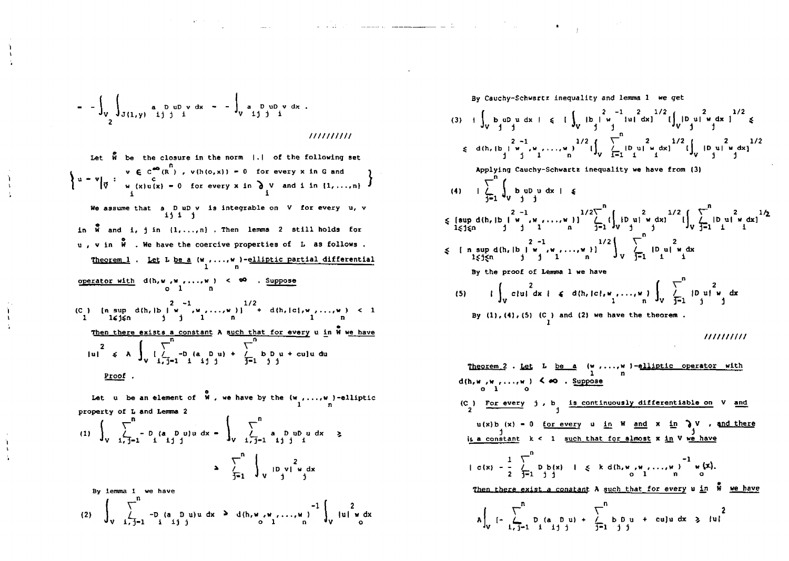$$
\mathbf{h} = \mathbf{h} \cdot \mathbf{h} + \mathbf{h} \cdot \mathbf{h} + \mathbf{h} \cdot \mathbf{h}
$$

$$
= - \int_{V} \int_{J(1,y)} a_{I} D_{U} D_{V} dx - \int_{V} a_{I} D_{U} D_{V} dx.
$$

**Ullllllll**

Let 
$$
\tilde{W}
$$
 be the closure in the norm  $|.|$  of the following set  $v \in C^{\infty}(\mathbb{R})$ ,  $v(h(o,x)) = 0$  for every  $x$  in  $G$  and  $\left\{ u - v \middle| \overline{v} \right\}$ :\n
$$
\begin{cases}\n v & \text{if } c \\
 w & \text{if } (x)u(x) = 0 \text{ for every } x \text{ in } \mathcal{F} \\
 0 & \text{if } (1, \ldots, n) \n\end{cases}
$$

**He assume that a D uD v la tntegrable on V for every u, v il i J**

in W and i, j in  $\{1,\ldots,n\}$ . Then lemma 2 still holds for **u , v in W .He have the coercive properties of L as follows ,**

**Theorem 1 . Lsj L be a (w ,...,» )-elliptic partial differential 1 1 1 1 1 1 1 1 1 operato r wit h d(h, w ,w ,,,., w ) < 0 0 Suppos e**

$$
\frac{\text{operator with}}{\text{operator with}} \quad \text{and} \quad \text{and} \quad \text{or} \quad \text{or} \quad \text{or} \quad \text{or} \quad \text{or} \quad \text{or} \quad \text{or} \quad \text{or} \quad \text{or} \quad \text{or} \quad \text{or} \quad \text{or} \quad \text{or} \quad \text{or} \quad \text{or} \quad \text{or} \quad \text{or} \quad \text{or} \quad \text{or} \quad \text{or} \quad \text{or} \quad \text{or} \quad \text{or} \quad \text{or} \quad \text{or} \quad \text{or} \quad \text{or} \quad \text{or} \quad \text{or} \quad \text{or} \quad \text{or} \quad \text{or} \quad \text{or} \quad \text{or} \quad \text{or} \quad \text{or} \quad \text{or} \quad \text{or} \quad \text{or} \quad \text{or} \quad \text{or} \quad \text{or} \quad \text{or} \quad \text{or} \quad \text{or} \quad \text{or} \quad \text{or} \quad \text{or} \quad \text{or} \quad \text{or} \quad \text{or} \quad \text{or} \quad \text{or} \quad \text{or} \quad \text{or} \quad \text{or} \quad \text{or} \quad \text{or} \quad \text{or} \quad \text{or} \quad \text{or} \quad \text{or} \quad \text{or} \quad \text{or} \quad \text{or} \quad \text{or} \quad \text{or} \quad \text{or} \quad \text{or} \quad \text{or} \quad \text{or} \quad \text{or} \quad \text{or} \quad \text{or} \quad \text{or} \quad \text{or} \quad \text{or} \quad \text{or} \quad \text{or} \quad \text{or} \quad \text{or} \quad \text{or} \quad \text{or} \quad \text{or} \quad \text{or} \quad \text{or} \quad \text{or} \quad \text{or} \quad \text{or} \quad \text{or} \quad \text{or} \quad \text{or} \quad \text{or} \quad \text{or} \quad \text{or} \quad \text{or} \quad \text{or} \quad \text{or} \quad \text{or} \quad \text{or} \quad \text{or} \quad \text{or} \quad \text{or} \quad \text{or} \quad \text
$$

**2 - 1 1/ 2 (C ) [n su p d(h,l b I w ,w w ) | + d(h,|c|, w ,..., « ) < 1 j j 1 n I n**

**Then there exists a constant A such that for every u in H we have n n**  $\mathbf{r}$ **J n v t** */\_ -a* **(a D u) v i,j-l i ij** *i* **n**  $+$   $\frac{j}{j-1}$  b D u + cu]u du

**Proof .**

Let u be an element of 
$$
\overrightarrow{M}
$$
, we have by the  $(w_1, ..., w_r)$ -elliptic property of L and Lemma 2

(1) 
$$
\int_{V} \sum_{i,j=1}^{n} -D_{i} (a - D_{i} u) u dx = \int_{V} \sum_{i,j=1}^{n} a_{i} D_{i} u D_{i} u dx \ge \int_{V} \sum_{i,j=1}^{n} \int_{V} \frac{2}{|D_{i} v|_{w} dx}
$$

**By lemma 1 we have**

(2) 
$$
\int_{V} \sum_{\substack{i,j=1 \ i,j=1}}^{n} -D (a - D u)u dx \rightarrow d(h, w, w, ..., w) \int_{V} \int_{V} \int u w dx
$$

**By Cauchy-Schwartz inequality and lemma 1 we get**

**I f** *i -i. £ i.l£ I 4* **b uD u dx I \$ ! Ib I w Iu| dx] [ |D u| w V j j<sup>J</sup>V j j<sup>J</sup>V j j S 2 -1 2 1/2 Ib I w |u | dx] [| V j j n 2 - 1 1/2** *f* **V 2 1/ 2 < d<h, |b I w ,w , . . ,, w ) j j 1 n 2 1/2 dx ] V^ 2 1/2 | 22 1/2 /\_ ID u| w dx] [ ID u| w dx] i-1 1 i<sup>J</sup>V j j**

**Applying Cauchy-Schwarti inequality we have from (3|**

(4) 
$$
\int_{\frac{1}{3}}^{\infty} \int_{V} b_{y} dV \, dx \, dx
$$

$$
\leqslant \left[\sup_{1\leqslant j\leqslant n} d(h,|b|w^2,w^2,\ldots,w^N)\right] \underset{1\leqslant j\leqslant n}{\overset{1/2}{\underset{j=1}{\bigcup}}}\left(\int_{V} |D_{y1}|w^2dx\right)^{1/2}\left(\int_{V} \underset{j=1}{\overset{n}{\underset{j=1}{\bigcup}}}\left(\int_{V} |D_{y1}|w^2dx\right)^{1/2}\right)
$$
\n
$$
\leqslant \left[\sup_{1\leqslant j\leqslant n} d(h,|b|w^2,w^2,\ldots,w^N)\right]^{1/2}\left(\int_{V} \underset{j=1}{\overset{n}{\underset{j=1}{\bigcup}}}\left(\int_{V} |D_{y1}|w^2dx\right)^{1/2}\right)
$$

$$
1 \leqslant j \leqslant n \qquad j \qquad j \qquad 1 \qquad n \qquad J \vee \qquad j-1 \qquad 1 \qquad 1
$$

By the proof of Lemma 1 we have

(5) 
$$
\int_{V} c|u|^{2} dx \quad \in d(h, |c|, w_1, ..., w_r) \int_{V} \sum_{j=1}^{m} \int_{j}^{2} u! w dx
$$

**By (1),(4),(5) (C ) and (2) we have the theorem . 1**

imtutti

Theorem 2. Let L be a (w ... w )-elliptic operator with  
\nd(h,w,w...w) < 
$$
\infty
$$
. Suppose  
\n0 1 0  
\n(C) For every j, b is continuously differentiable on V and  
\nu(x)b (x) - 0 for every u in W and x in  $y$ , and there  
\nis a constant k < 1 such that for almost x in V we have  
\n
$$
\frac{1}{2} \sum_{j=1}^{n} \frac{1}{j} b^{(j)} x
$$
\nThen there exist a constant A such that for every u in W  
\n
$$
\frac{1}{2} \sum_{j=1}^{n} \frac{1}{j} b^{(j)} x
$$
\n
$$
\frac{1}{2} \sum_{j=1}^{n} \frac{1}{j} \sum_{j=1}^{n} \frac{1}{j} b^{(j)} x
$$
\n
$$
\frac{1}{2} \sum_{j=1}^{n} \frac{1}{j} \sum_{j=1}^{n} \frac{1}{j} \sum_{j=1}^{n} \frac{1}{j} \sum_{j=1}^{n} \frac{1}{j} \sum_{j=1}^{n} \frac{1}{j} \sum_{j=1}^{n} \frac{1}{j} \sum_{j=1}^{n} \frac{1}{j} \sum_{j=1}^{n} \frac{1}{j} \sum_{j=1}^{n} \frac{1}{j} \sum_{j=1}^{n} \frac{1}{j} \sum_{j=1}^{n} \frac{1}{j} \sum_{j=1}^{n} \frac{1}{j} \sum_{j=1}^{n} \frac{1}{j} \sum_{j=1}^{n} \frac{1}{j} \sum_{j=1}^{n} \frac{1}{j} \sum_{j=1}^{n} \frac{1}{j} \sum_{j=1}^{n} \frac{1}{j} \sum_{j=1}^{n} \frac{1}{j} \sum_{j=1}^{n} \frac{1}{j} \sum_{j=1}^{n} \frac{1}{j} \sum_{j=1}^{n} \frac{1}{j} \sum_{j=1}^{n} \frac{1}{j} \sum_{j=1}^{n} \frac{1}{j} \sum_{j=1}^{n} \frac{1}{j} \sum_{j=1}^{n} \frac{1}{j} \sum_{j=1}^{n} \frac{1}{j} \sum_{j=1}^{n} \frac{1}{j} \sum_{j=1}^{n} \frac{1}{j} \sum_{j=1}^{n} \
$$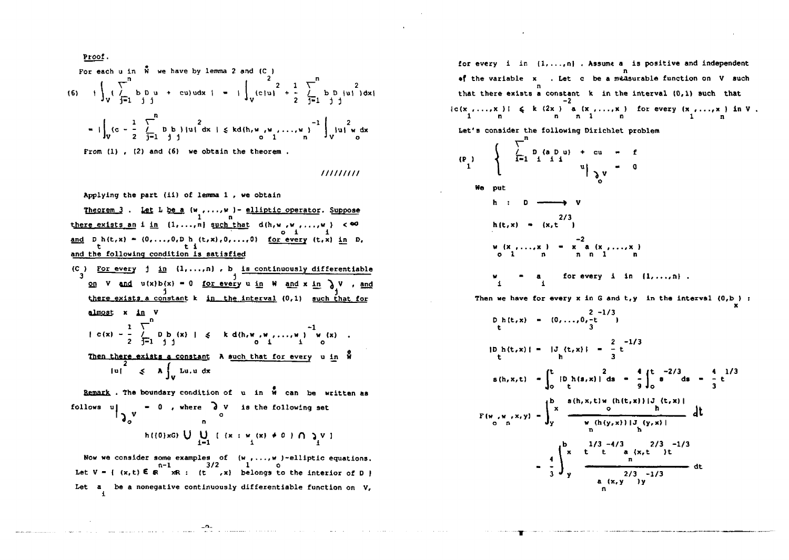Proof.  
\nFor each u in 
$$
\hat{W}
$$
 we have by lemma 2 and (C)  
\n(6)  $+\int_{V} (\sum_{j=1}^{n} b_{j}D_{u} + cu)udx + \cdots + \int_{V} (c|u|^{2} + \frac{1}{2} \sum_{j=1}^{n} b_{j}D_{j}u_{1}^{2})dx$   
\n $= \int_{V} (c - \frac{1}{2} \sum_{j=1}^{n} b_{j}) |u| dx + \int_{C} k d(h, w, w, ..., w_{n})^{-1} \int_{V} u_{1}^{2}w dx$   
\nFrom (1), (2) and (6) we obtain the theorem.

**lltllllll**

**Applying the part (li) of lemma 1 , we obtain**

**Theorem 3** . Let L be a  $(w_1, \ldots, w_n)$  - elliptic operator. Suppose<br>
1 n there exists an i in (1,...,n) such that d(h,w ,w ,...,w ) <  $\infty$ **\_ oi l and D h(t,x) - (0,...,0,D h (t,x),0,...,0) <u>for every</u> (t,x) <u>in</u> D,<br>
in the following condition is contaging and the following condition is satisfied**

(c) For every 
$$
j
$$
 in (1,...,n) , b is continuously differentiable on  $v$  and  $u(x)b(x) = 0$  for every  $u$  in  $w$  and  $x$  in  $\lambda y$ , and there exists a constant  $k$  in the interval (0,1) such that for all most  $x$  in  $v$ \n
$$
\frac{1}{2} \sum_{j=1}^{n} \frac{1}{j} \int_{0}^{1} k(x) \, dx = \frac{1}{2} \int_{0}^{1} \left[ \int_{0}^{1} k(x) \, dx \right]_{0}^{1} + \left[ \int_{0}^{1} k(x) \, dx \right]_{0}^{1}
$$
\nThen there exists a constant  $\lambda$  such that for every  $u$  in  $\frac{2}{3}$  and  $\frac{2}{3}$  is a constant.

**Remark . The boundary condition of u in w can be written as follows** u = 0, where  $\frac{\partial V}{\partial x}$  is the following set **h**({0} xG) U  $\bigcup_{i=1}^{n}$  i  $(x : w_i(x) \neq 0)$  i  $\bigcap_{i=1}^{n}$  y 1

**How we consider some examples of (w ,...,w )-elliptic equations.**<br> **n-1** 3/2 1 o<br> **Let V - [ (x,t) E R** xR : (t ,x) belongs to the interior of D ] Let a be a nonegative continuously differentiable function on V,

**for every i in [l,...,nl . Assume a is positive and independent •f** the variable x , Let c be a measurable function on V such **n that there exists a constant k in the interval (0,1) such that**  $|c(x_1,...,x_k)| \leq k$  (2x) a(x,...,x) for every ( $x_1,...,x_k$ ) in V<br>
1 n n 1 n<br>
1 n **Let's consider the following Dirlehlet problem** *I* **D (a D u) + cu - f**

$$
\begin{array}{c|cccc}\n\text{[P]} & \text{[P]} & \text{[P]} & \text{[P]} & \text{[P]} & \text{[P]} & \text{[P]} & \text{[P]} \\
\text{[P]} & \text{[P]} & \text{[P]} & \text{[P]} & \text{[P]} & \text{[P]} & \text{[P]} \\
\text{[P]} & \text{[P]} & \text{[P]} & \text{[P]} & \text{[P]} & \text{[P]} & \text{[P]} \\
\text{[P]} & \text{[P]} & \text{[P]} & \text{[P]} & \text{[P]} & \text{[P]} & \text{[P]} & \text{[P]} & \text{[P]} \\
\text{[P]} & \text{[P]} & \text{[P]} & \text{[P]} & \text{[P]} & \text{[P]} & \text{[P]} & \text{[P]} & \text{[P]} & \text{[P]} & \text{[P]} \\
\text{[P]} & \text{[P]} & \text{[P]} & \text{[P]} & \text{[P]} & \text{[P]} & \text{[P]} & \text{[P]} & \text{[P]} & \text{[P]} & \text{[P]} & \text{[P]} & \text{[P]} & \text{[P]} & \text{[P]} & \text{[P]} \\
\text{[P]} & \text{[P]} & \text{[P]} & \text{[P]} & \text{[P]} & \text{[P]} & \text{[P]} & \text{[P]} & \text{[P]} & \text{[P]} & \text{[P]} & \text{[P]} & \text{[P]} & \text{[P]} & \text{[P]} & \text{[P]} & \text{[P]} & \text{[P]} & \text{[P]} & \text{[P]} & \text{[P]} & \text{[P]} & \text{[P]} & \text{[P]} & \text{[P]} & \text{[P]} & \text{[P]} & \text{[P]} & \text{[P]} & \text{[P]} & \text{[P]} & \text{[P]} & \text{[P]} & \text{[P]} & \text{[P]} & \text{[P]} & \text{[P]} & \text{[P]} & \text{[P]} & \text{[P]} & \text{[P]} & \text{[P]} & \text{[P]} & \text{[P]} & \text{[P]} & \text{[P]} & \text{[P]} & \text{[P]} & \text{[P]} & \
$$

 $\mathcal{L}^{\text{max}}_{\text{max}}$  , where  $\mathcal{L}^{\text{max}}_{\text{max}}$ 

$$
\begin{array}{cccc}\n\mathbf{w} & = & \mathbf{a} & \text{for every } \mathbf{i} \text{ in } \{1, \ldots, n\} \text{ .} \\
\mathbf{i} & & \mathbf{i}\n\end{array}
$$

**Then we have for every x in 6 and t,y in the interval (0,b ) :**

$$
D h(t,x) = (0,...,0,\frac{2}{3} - 1/3
$$
  
\nt  
\n
$$
D h(t,x) = 1J_1(t,x) = \frac{2}{3} - 1/3
$$
  
\n
$$
B(h,x,t) = \int_0^t [D h(s,x)] ds = \frac{4}{9} \int_0^t e^{-2/3} ds = \frac{4}{3}t^{1/3}
$$
  
\n
$$
F(w_x w_x x, y) = \int_y^b \frac{s(h,x,t)w(h(t,x))}{w(h(y,x))} [J_1(x,x)] dx
$$
  
\n
$$
= \int_y^b \frac{s(h,x,t)w(h(t,x))}{w(h(y,x))} [J_1(y,x)] dx
$$
  
\n
$$
= \frac{4}{3} \int_y^b \frac{t^{1/3} - 4/3}{w(x,t^2)} [J_1(x,t)] dx
$$
  
\n
$$
= \frac{4}{3} \int_y^b \frac{t^{1/3} - 4/3}{w(x,t^2)} [J_1(x,t)] dx
$$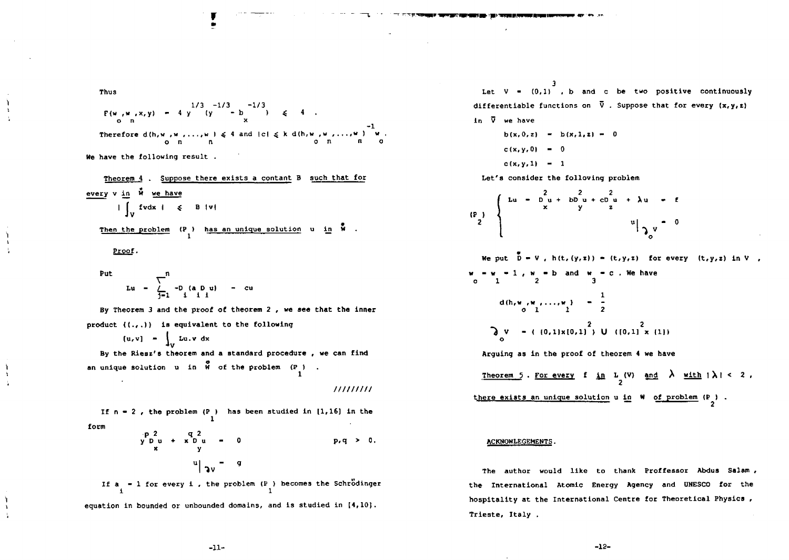**Thus**

| $f(w, w, x, y) = 4y$ | $1/3$ | $-1/3$ | $-1/3$ |
|----------------------|-------|--------|--------|
| 0 n                  | x     | -1     |        |
| 10 n                 | x     | -1     |        |
| 21 n                 | -10 n | x      | -1     |
| 32 n                 | -10 n | x      | -1     |
| 4 n                  | -1    | -1     |        |
| 5 n                  | -1    | -1     |        |
| 6 n                  | -1    | -1     |        |
| 7 n                  | -1    | -1     |        |
| 8 n                  | -1    | -1     |        |
| 9 n                  | -1    | -1     |        |
| 10 n                 | -1    | -1     |        |
| 11 n                 | -1    | -1     |        |
| 12 n                 | -1    | -1     |        |
| 23 n                 | -1    | -1     |        |
| 34 n                 | -1    | -1     |        |
| 45 n                 | -1    | -1     |        |
| 56 n                 | -1    | -1     |        |
| 67 n                 | -1    | -1     |        |
| 78 n                 | -1    | -1     |        |
| 88 n                 | -1    | -1     |        |
| 9 n                  | -1    | -1     |        |

**We have the following result .**

**Theorem 4 . Suppose there exists a contant B such that for every v in W we have I ( fvdx I \$ B |v| JV** Then the problem (P) has an unique solution u in W.

**Proof.**

À  $\mathbf{A}$ 

h A.

Put 
$$
Lu = \sum_{j=1}^{n} -D (a D u) = cu
$$

**By theorem 3 and the proof of theorem 2 , we see that the inner product ((.,.)) is equivalent to the following**

$$
[u,v] = \int_V Lu.v \ dx
$$

**By the Riesz's theorem and a standard procedure , we can find o an unique solution u in W of the problem (P )**

 $111111111$ 

**If n - 2 , the problem (P ) has been studied in [1,16] in the 1 form**

**p 2 q 2 y D u + xDu- 0 p, q > 0. x y**  $\mathbf{u}$   $\mathbf{v}$  =  $\mathbf{v}$ 

If a - 1 for every **i**, the problem (P ) becomes the Schrödinger<br>
<sup>1</sup> **equation in bounded or unbounded domains, and is studied in [4,10).**

**Let V - (0,1) , b and c be two positive continuously** differentiable functions on  $\bar{V}$ . Suppose that for every  $(x,y,z)$ 

**in V we have**

 $b(x,0,z) = b(x,1,z) = 0$ **c(x,y,0| - 0**  $c(x,y,1) = 1$ 

**Let's consider the folloving problem**

$$
\begin{array}{c|cccc}\n\text{(P)} & \begin{cases}\n\text{Lu} & = & \frac{2}{D}u + bD u + cD u + \lambda u + f \\
x & y & z\n\end{cases} \\
\text{(P)} & u & \begin{cases}\nu & = & 0 \\
y & = & 0\n\end{cases}\n\end{array}
$$

**We put**  $\overrightarrow{D}$  **- V**,  $h(t, (y, z))$  -  $(t, y, z)$  for every  $(t, y, z)$  in V,

**w - w - 1 , w • b and w - c . We have o 1 2 3 d(hrw o 1 2 2 v - ( io,iix[o,i ] ) u uo,i ] x (i n**

**Arguing as in the proof of theorem 4 we have**

**Theorem 5 . For every f in L (V) and, > with \\\ < 2 , 2 there exists an unique solution u In W of problem (p ) . \_\_ \_<sup>2</sup>**

### **ACKMOWLEGEMEBTS.**

**The author would like to thank Proffessor Abdus Salam , the International Atomic Energy Agency and UNESCO for the hospitality at the International Centre for Theoretical Physics , Trieste, Italy .**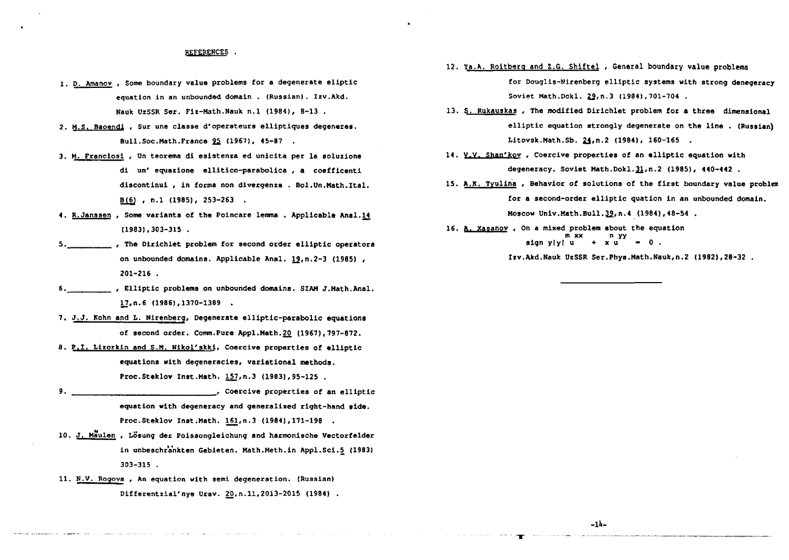## **REFERENCES .**

- **1. D. Amanov , Some boundary value problems for a degenerate eliptic equation in an unbounded domain . (Russian). Izv.Akd. Nauk UiSSR Ser. Fli-Math.Nauk n.l (1984), B-13 .**
- **2. M.S. Baoendl , Sur une classe d'operateurs elliptiques degeneres. Bull.Soc.Math.France 25 (1967), 45-87 .**
- **3. M. Franciosl , Un teoretna di esistenza ed uniclta per la soluzione di un' equazlone ellltlco-parabollca , a coefficenti discontlnui , in forma non divergenza . Bol.Un.Math.Ital, B(6) , n.l (1985), 253-263 ,**
- **4. R.Jans sen , Some variants of the Poincare lemma . Applicable Anal.14^ (1983),303-315 .**
- **5. , The Dirlchlet problem for second order elliptic operators on unbounded domains. Applicable Anal. 19,n.2-3 (1965) , 201-216 .**
- **6,\_ , Elliptic problems on unbounded domains. SIAM J.Math.Anal. 17,n.6 (1986),1370-1389 .**
- **7. J.J. Kohn and t. Nlrenberg, Degenerate elliptic-parabolic equations Of second order. Comm.Pure Appl.Math.20. (1967), 797-872.**
- **8. P.I. Llzorkin and S.H. Hikol'skkl. Coercive properties of elliptic equations with degeneracies, variational methods. Proc.Steklov inat.Math. 15J,n.3 (1983), 95-125 .**
- **9. , Coercive properties of an elliptic equation with degeneracy and generalized right-hand side.** Proc.Steklov Inst.Math. 161, n.3 (1984), 171-198 .
- **10. J. Maulen , Losung der Poissongleichung and harmonische Vectorfelder in unbeschrankten Gebieten. Math.Meth.in Appl.Scl.5 (1983) 303-315 .**
- **11. H.V. Rogova , An equation with semi degeneration. (Russian) Differentzial'nye Urav. 20,n.11,2013-2015 (1984) .**
- **12. Ya.fr. Roltberq and Z.G. Shlftel , General boundary value problems for Douglis-Nirenberg elliptic systems with strong denegeracy Soviet Math.Dokl. 2J,n.3 (1984), 701-704 .**
- **13. S. Rukauskas , The modified Dlrichlet problem for a three dimensional elliptic equation strongly degenerate on the line . (Russian) Litovsk.Math.Sb. 2£,n.2 (1984), 160-165 .**
- 14. V.V. Shan'kov , Coercive properties of an elliptic equation with **degeneracy. Soviet Math.Dokl.3J,n.2 (1985), 440-442 .**
- **15. A.K. Tyullna , Behavior of solutions of the first boundary value problen**

**for a second-order elliptic quation in an unbounded domain.**

**Moscow Univ.Hath.Bull.3JJ,n.4 (1984) ,48-54 .**

**16. A. Xasanov , On a mixed problem about the equation m xx n yy sign ytyt u + x u - 0 .**

**Itv.AJtd.Nauk OiSSR Ser.Phys.Math.Nauk,n.2 (1982), 28-32 .**